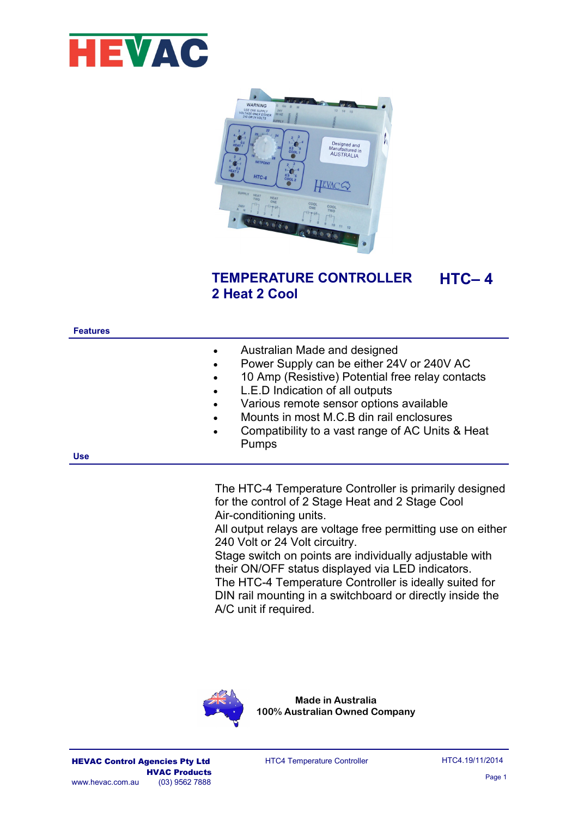



### **TEMPERATURE CONTROLLER 2 Heat 2 Cool HTC– 4**

| <b>Features</b> |                                                                                                                                                                                                                                                                                                                                                                                                                 |
|-----------------|-----------------------------------------------------------------------------------------------------------------------------------------------------------------------------------------------------------------------------------------------------------------------------------------------------------------------------------------------------------------------------------------------------------------|
| <b>Use</b>      | Australian Made and designed<br>$\bullet$<br>Power Supply can be either 24V or 240V AC<br>$\bullet$<br>10 Amp (Resistive) Potential free relay contacts<br>$\bullet$<br>L.E.D Indication of all outputs<br>$\bullet$<br>Various remote sensor options available<br>$\bullet$<br>Mounts in most M.C.B din rail enclosures<br>$\bullet$<br>Compatibility to a vast range of AC Units & Heat<br>$\bullet$<br>Pumps |
|                 |                                                                                                                                                                                                                                                                                                                                                                                                                 |

The HTC-4 Temperature Controller is primarily designed for the control of 2 Stage Heat and 2 Stage Cool Air-conditioning units.

All output relays are voltage free permitting use on either 240 Volt or 24 Volt circuitry.

Stage switch on points are individually adjustable with their ON/OFF status displayed via LED indicators. The HTC-4 Temperature Controller is ideally suited for DIN rail mounting in a switchboard or directly inside the A/C unit if required.



**Made in Australia 100% Australian Owned Company**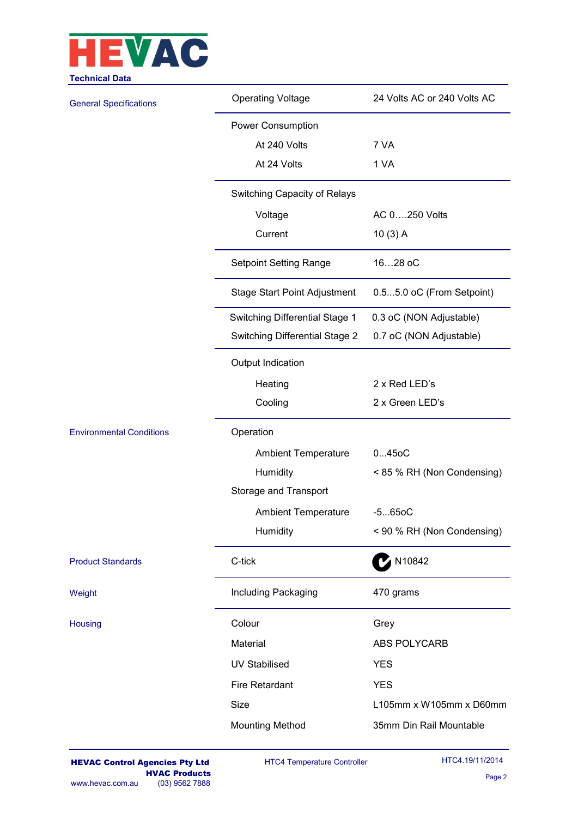

| <b>Operating Voltage</b>            | 24 Volts AC or 240 Volts AC |  |  |  |  |  |
|-------------------------------------|-----------------------------|--|--|--|--|--|
| Power Consumption                   |                             |  |  |  |  |  |
| At 240 Volts                        | 7 VA                        |  |  |  |  |  |
| At 24 Volts                         | 1 VA                        |  |  |  |  |  |
| Switching Capacity of Relays        |                             |  |  |  |  |  |
| Voltage                             | AC 0250 Volts               |  |  |  |  |  |
| Current                             | 10(3) A                     |  |  |  |  |  |
| <b>Setpoint Setting Range</b>       | 1628 oC                     |  |  |  |  |  |
| <b>Stage Start Point Adjustment</b> | 0.55.0 oC (From Setpoint)   |  |  |  |  |  |
| Switching Differential Stage 1      | 0.3 oC (NON Adjustable)     |  |  |  |  |  |
| Switching Differential Stage 2      | 0.7 oC (NON Adjustable)     |  |  |  |  |  |
| Output Indication                   |                             |  |  |  |  |  |
| Heating                             | 2 x Red LED's               |  |  |  |  |  |
| Cooling                             | 2 x Green LED's             |  |  |  |  |  |
| Operation                           |                             |  |  |  |  |  |
| <b>Ambient Temperature</b>          | 0450C                       |  |  |  |  |  |
| Humidity                            | < 85 % RH (Non Condensing)  |  |  |  |  |  |
| Storage and Transport               |                             |  |  |  |  |  |
| <b>Ambient Temperature</b>          | $-5650C$                    |  |  |  |  |  |
| Humidity                            | < 90 % RH (Non Condensing)  |  |  |  |  |  |
| C-tick                              | N10842                      |  |  |  |  |  |
| Including Packaging                 | 470 grams                   |  |  |  |  |  |
| Colour                              | Grey                        |  |  |  |  |  |
| Material                            | ABS POLYCARB                |  |  |  |  |  |
| <b>UV Stabilised</b>                | <b>YES</b>                  |  |  |  |  |  |
| <b>Fire Retardant</b>               | <b>YES</b>                  |  |  |  |  |  |
| Size                                | L105mm x W105mm x D60mm     |  |  |  |  |  |
| <b>Mounting Method</b>              | 35mm Din Rail Mountable     |  |  |  |  |  |
|                                     |                             |  |  |  |  |  |

HTC4 Temperature Controller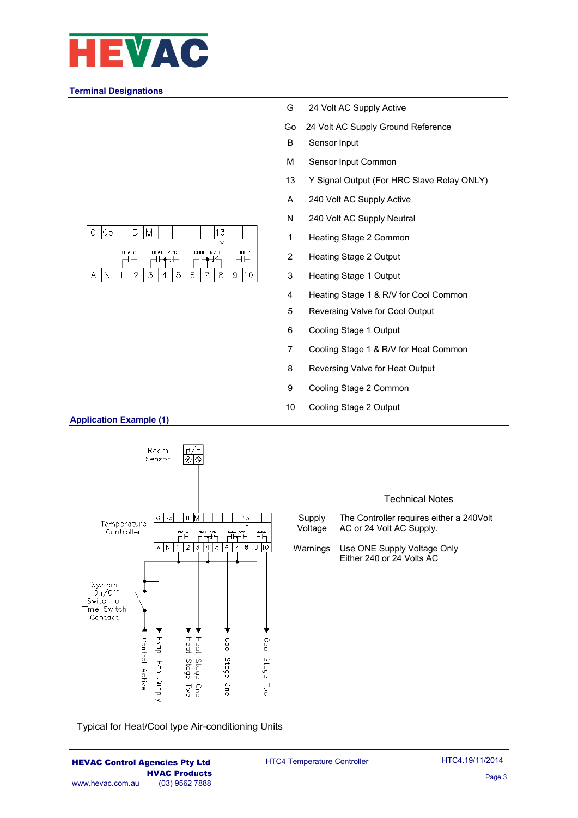

### **Terminal Designations**

| G                                              | Go |  |  |  |  |   |   |  |  |
|------------------------------------------------|----|--|--|--|--|---|---|--|--|
| CDDL2<br>HEAT2<br>HEAT RVC<br>COOL RVH<br>- IV |    |  |  |  |  |   |   |  |  |
|                                                |    |  |  |  |  | 5 | А |  |  |

- G 24 Volt AC Supply Active
- Go 24 Volt AC Supply Ground Reference
- B Sensor Input
- M Sensor Input Common
- 13 Y Signal Output (For HRC Slave Relay ONLY)
- A 240 Volt AC Supply Active
- N 240 Volt AC Supply Neutral
- 1 Heating Stage 2 Common
- 2 Heating Stage 2 Output
- 3 Heating Stage 1 Output
- 4 Heating Stage 1 & R/V for Cool Common
- 5 Reversing Valve for Cool Output
- 6 Cooling Stage 1 Output
- 7 Cooling Stage 1 & R/V for Heat Common
- 8 Reversing Valve for Heat Output
- 9 Cooling Stage 2 Common
- 10 Cooling Stage 2 Output



Typical for Heat/Cool type Air-conditioning Units

#### HEVAC Control Agencies Pty Ltd **HVAC Products**<br>(03) 9562 7888 www.hevac.com.au

# **Application Example (1)**